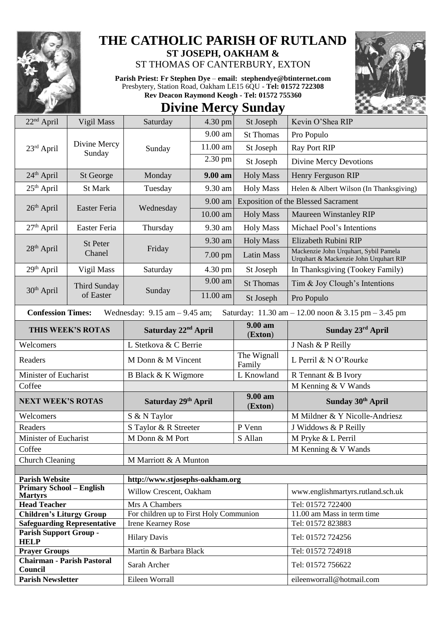

## **THE CATHOLIC PARISH OF RUTLAND ST JOSEPH, OAKHAM &**

ST THOMAS OF CANTERBURY, EXTON

**Parish Priest: Fr Stephen Dye** – **[email: stephendye@btinternet.com](mailto:email:%20%20stephendye@btinternet.com)** Presbytery, Station Road, Oakham LE15 6QU - **Tel: 01572 722308 Rev Deacon Raymond Keogh - Tel: 01572 755360**

## **Divine Mercy Sunday**